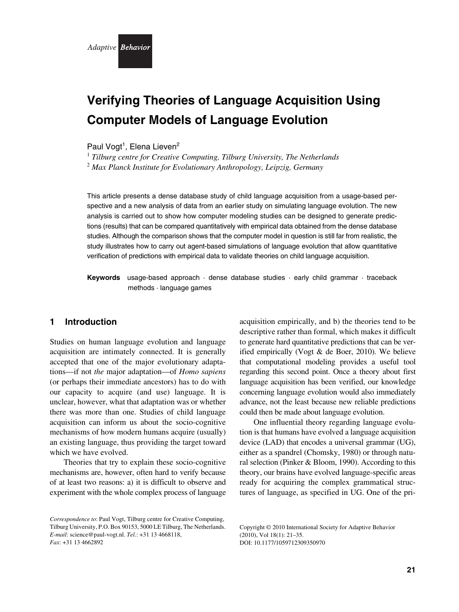

# **Verifying Theories of Language Acquisition Using Computer Models of Language Evolution**

Paul Vogt<sup>1</sup>, Elena Lieven<sup>2</sup>

<sup>1</sup> *Tilburg centre for Creative Computing, Tilburg University, The Netherlands*

<sup>2</sup> *Max Planck Institute for Evolutionary Anthropology, Leipzig, Germany*

This article presents a dense database study of child language acquisition from a usage-based perspective and a new analysis of data from an earlier study on simulating language evolution. The new analysis is carried out to show how computer modeling studies can be designed to generate predictions (results) that can be compared quantitatively with empirical data obtained from the dense database studies. Although the comparison shows that the computer model in question is still far from realistic, the study illustrates how to carry out agent-based simulations of language evolution that allow quantitative verification of predictions with empirical data to validate theories on child language acquisition.

**Keywords** usage-based approach · dense database studies · early child grammar · traceback methods · language games

# **1 Introduction**

Studies on human language evolution and language acquisition are intimately connected. It is generally accepted that one of the major evolutionary adaptations—if not *the* major adaptation—of *Homo sapiens* (or perhaps their immediate ancestors) has to do with our capacity to acquire (and use) language. It is unclear, however, what that adaptation was or whether there was more than one. Studies of child language acquisition can inform us about the socio-cognitive mechanisms of how modern humans acquire (usually) an existing language, thus providing the target toward which we have evolved.

Theories that try to explain these socio-cognitive mechanisms are, however, often hard to verify because of at least two reasons: a) it is difficult to observe and experiment with the whole complex process of language acquisition empirically, and b) the theories tend to be descriptive rather than formal, which makes it difficult to generate hard quantitative predictions that can be verified empirically (Vogt & de Boer, 2010). We believe that computational modeling provides a useful tool regarding this second point. Once a theory about first language acquisition has been verified, our knowledge concerning language evolution would also immediately advance, not the least because new reliable predictions could then be made about language evolution.

One influential theory regarding language evolution is that humans have evolved a language acquisition device (LAD) that encodes a universal grammar (UG), either as a spandrel (Chomsky, 1980) or through natural selection (Pinker & Bloom, 1990). According to this theory, our brains have evolved language-specific areas ready for acquiring the complex grammatical structures of language, as specified in UG. One of the pri-

*Correspondence to*: Paul Vogt, Tilburg centre for Creative Computing, Tilburg University, P.O. Box 90153, 5000 LE Tilburg, The Netherlands. *E-mail*: science@paul-vogt.nl. *Tel.*: +31 13 4668118, *Fax*: +31 13 4662892

Copyright © 2010 International Society for Adaptive Behavior (2010), Vol 18(1): 21–35. DOI: 10.1177/1059712309350970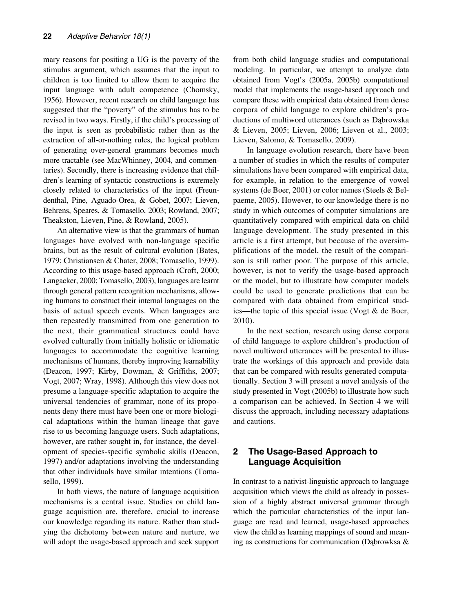mary reasons for positing a UG is the poverty of the stimulus argument, which assumes that the input to children is too limited to allow them to acquire the input language with adult competence (Chomsky, 1956). However, recent research on child language has suggested that the "poverty" of the stimulus has to be revised in two ways. Firstly, if the child's processing of the input is seen as probabilistic rather than as the extraction of all-or-nothing rules, the logical problem of generating over-general grammars becomes much more tractable (see MacWhinney, 2004, and commentaries). Secondly, there is increasing evidence that children's learning of syntactic constructions is extremely closely related to characteristics of the input (Freundenthal, Pine, Aguado-Orea, & Gobet, 2007; Lieven, Behrens, Speares, & Tomasello, 2003; Rowland, 2007; Theakston, Lieven, Pine, & Rowland, 2005).

An alternative view is that the grammars of human languages have evolved with non-language specific brains, but as the result of cultural evolution (Bates, 1979; Christiansen & Chater, 2008; Tomasello, 1999). According to this usage-based approach (Croft, 2000; Langacker, 2000; Tomasello, 2003), languages are learnt through general pattern recognition mechanisms, allowing humans to construct their internal languages on the basis of actual speech events. When languages are then repeatedly transmitted from one generation to the next, their grammatical structures could have evolved culturally from initially holistic or idiomatic languages to accommodate the cognitive learning mechanisms of humans, thereby improving learnability (Deacon, 1997; Kirby, Dowman, & Griffiths, 2007; Vogt, 2007; Wray, 1998). Although this view does not presume a language-specific adaptation to acquire the universal tendencies of grammar, none of its proponents deny there must have been one or more biological adaptations within the human lineage that gave rise to us becoming language users. Such adaptations, however, are rather sought in, for instance, the development of species-specific symbolic skills (Deacon, 1997) and/or adaptations involving the understanding that other individuals have similar intentions (Tomasello, 1999).

In both views, the nature of language acquisition mechanisms is a central issue. Studies on child language acquisition are, therefore, crucial to increase our knowledge regarding its nature. Rather than studying the dichotomy between nature and nurture, we will adopt the usage-based approach and seek support from both child language studies and computational modeling. In particular, we attempt to analyze data obtained from Vogt's (2005a, 2005b) computational model that implements the usage-based approach and compare these with empirical data obtained from dense corpora of child language to explore children's productions of multiword utterances (such as Dabrowska & Lieven, 2005; Lieven, 2006; Lieven et al., 2003; Lieven, Salomo, & Tomasello, 2009).

In language evolution research, there have been a number of studies in which the results of computer simulations have been compared with empirical data, for example, in relation to the emergence of vowel systems (de Boer, 2001) or color names (Steels & Belpaeme, 2005). However, to our knowledge there is no study in which outcomes of computer simulations are quantitatively compared with empirical data on child language development. The study presented in this article is a first attempt, but because of the oversimplifications of the model, the result of the comparison is still rather poor. The purpose of this article, however, is not to verify the usage-based approach or the model, but to illustrate how computer models could be used to generate predictions that can be compared with data obtained from empirical studies—the topic of this special issue (Vogt & de Boer, 2010).

In the next section, research using dense corpora of child language to explore children's production of novel multiword utterances will be presented to illustrate the workings of this approach and provide data that can be compared with results generated computationally. Section 3 will present a novel analysis of the study presented in Vogt (2005b) to illustrate how such a comparison can be achieved. In Section 4 we will discuss the approach, including necessary adaptations and cautions.

# **2 The Usage-Based Approach to Language Acquisition**

In contrast to a nativist-linguistic approach to language acquisition which views the child as already in possession of a highly abstract universal grammar through which the particular characteristics of the input language are read and learned, usage-based approaches view the child as learning mappings of sound and meaning as constructions for communication (Dabrowksa  $\&$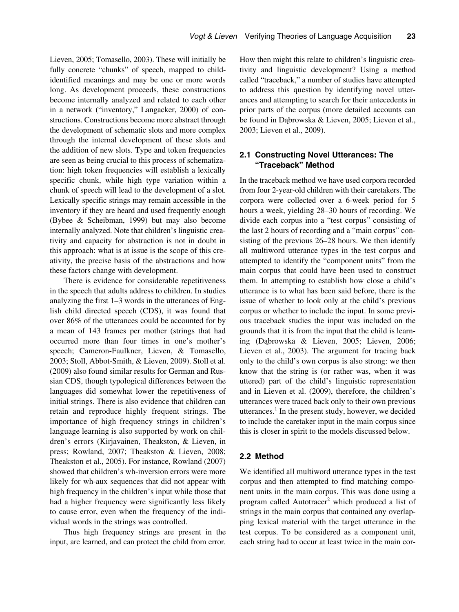Lieven, 2005; Tomasello, 2003). These will initially be fully concrete "chunks" of speech, mapped to childidentified meanings and may be one or more words long. As development proceeds, these constructions become internally analyzed and related to each other in a network ("inventory," Langacker, 2000) of constructions. Constructions become more abstract through the development of schematic slots and more complex through the internal development of these slots and the addition of new slots. Type and token frequencies are seen as being crucial to this process of schematization: high token frequencies will establish a lexically specific chunk, while high type variation within a chunk of speech will lead to the development of a slot. Lexically specific strings may remain accessible in the inventory if they are heard and used frequently enough (Bybee & Scheibman, 1999) but may also become internally analyzed. Note that children's linguistic creativity and capacity for abstraction is not in doubt in this approach: what is at issue is the scope of this creativity, the precise basis of the abstractions and how these factors change with development.

There is evidence for considerable repetitiveness in the speech that adults address to children. In studies analyzing the first 1–3 words in the utterances of English child directed speech (CDS), it was found that over 86% of the utterances could be accounted for by a mean of 143 frames per mother (strings that had occurred more than four times in one's mother's speech; Cameron-Faulkner, Lieven, & Tomasello, 2003; Stoll, Abbot-Smith, & Lieven, 2009). Stoll et al. (2009) also found similar results for German and Russian CDS, though typological differences between the languages did somewhat lower the repetitiveness of initial strings. There is also evidence that children can retain and reproduce highly frequent strings. The importance of high frequency strings in children's language learning is also supported by work on children's errors (Kirjavainen, Theakston, & Lieven, in press; Rowland, 2007; Theakston & Lieven, 2008; Theakston et al., 2005). For instance, Rowland (2007) showed that children's wh-inversion errors were more likely for wh-aux sequences that did not appear with high frequency in the children's input while those that had a higher frequency were significantly less likely to cause error, even when the frequency of the individual words in the strings was controlled.

Thus high frequency strings are present in the input, are learned, and can protect the child from error. How then might this relate to children's linguistic creativity and linguistic development? Using a method called "traceback," a number of studies have attempted to address this question by identifying novel utterances and attempting to search for their antecedents in prior parts of the corpus (more detailed accounts can be found in Dabrowska & Lieven, 2005; Lieven et al., 2003; Lieven et al., 2009).

# **2.1 Constructing Novel Utterances: The "Traceback" Method**

In the traceback method we have used corpora recorded from four 2-year-old children with their caretakers. The corpora were collected over a 6-week period for 5 hours a week, yielding 28–30 hours of recording. We divide each corpus into a "test corpus" consisting of the last 2 hours of recording and a "main corpus" consisting of the previous 26–28 hours. We then identify all multiword utterance types in the test corpus and attempted to identify the "component units" from the main corpus that could have been used to construct them. In attempting to establish how close a child's utterance is to what has been said before, there is the issue of whether to look only at the child's previous corpus or whether to include the input. In some previous traceback studies the input was included on the grounds that it is from the input that the child is learning (Dąbrowska & Lieven, 2005; Lieven, 2006; Lieven et al., 2003). The argument for tracing back only to the child's own corpus is also strong: we then know that the string is (or rather was, when it was uttered) part of the child's linguistic representation and in Lieven et al. (2009), therefore, the children's utterances were traced back only to their own previous utterances.<sup>1</sup> In the present study, however, we decided to include the caretaker input in the main corpus since this is closer in spirit to the models discussed below.

# **2.2 Method**

We identified all multiword utterance types in the test corpus and then attempted to find matching component units in the main corpus. This was done using a program called Autotracer<sup>2</sup> which produced a list of strings in the main corpus that contained any overlapping lexical material with the target utterance in the test corpus. To be considered as a component unit, each string had to occur at least twice in the main cor-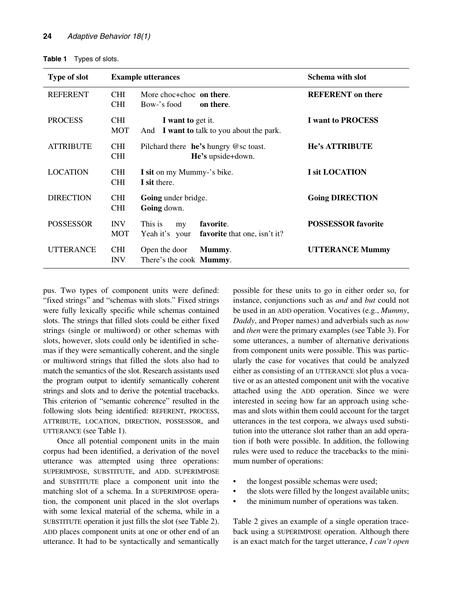| Table 1 | Types of slots. |
|---------|-----------------|
|---------|-----------------|

| <b>Type of slot</b> |                          | <b>Example utterances</b>                                                    | <b>Schema with slot</b>   |
|---------------------|--------------------------|------------------------------------------------------------------------------|---------------------------|
| <b>REFERENT</b>     | <b>CHI</b><br><b>CHI</b> | More choc+choc on there.<br>Bow-'s food<br>on there.                         | <b>REFERENT</b> on there  |
| <b>PROCESS</b>      | <b>CHI</b><br><b>MOT</b> | I want to get it.<br>And I want to talk to you about the park.               | <b>I</b> want to PROCESS  |
| <b>ATTRIBUTE</b>    | <b>CHI</b><br><b>CHI</b> | Pilchard there $he's$ hungry $@$ sc toast.<br>He's upside+down.              | <b>He's ATTRIBUTE</b>     |
| <b>LOCATION</b>     | <b>CHI</b><br><b>CHI</b> | I sit on my Mummy-'s bike.<br>I sit there.                                   | I sit LOCATION            |
| <b>DIRECTION</b>    | <b>CHI</b><br><b>CHI</b> | Going under bridge.<br>Going down.                                           | <b>Going DIRECTION</b>    |
| <b>POSSESSOR</b>    | <b>INV</b><br><b>MOT</b> | favorite.<br>This is<br>my<br>favorite that one, isn't it?<br>Yeah it's your | <b>POSSESSOR</b> favorite |
| <b>UTTERANCE</b>    | <b>CHI</b><br><b>INV</b> | Open the door<br>Mummy.<br>There's the cook <b>Mummy</b> .                   | <b>UTTERANCE Mummy</b>    |

pus. Two types of component units were defined: "fixed strings" and "schemas with slots." Fixed strings were fully lexically specific while schemas contained slots. The strings that filled slots could be either fixed strings (single or multiword) or other schemas with slots, however, slots could only be identified in schemas if they were semantically coherent, and the single or multiword strings that filled the slots also had to match the semantics of the slot. Research assistants used the program output to identify semantically coherent strings and slots and to derive the potential tracebacks. This criterion of "semantic coherence" resulted in the following slots being identified: REFERENT, PROCESS, ATTRIBUTE, LOCATION, DIRECTION, POSSESSOR, and UTTERANCE (see Table 1).

Once all potential component units in the main corpus had been identified, a derivation of the novel utterance was attempted using three operations: SUPERIMPOSE, SUBSTITUTE, and ADD. SUPERIMPOSE and SUBSTITUTE place a component unit into the matching slot of a schema. In a SUPERIMPOSE operation, the component unit placed in the slot overlaps with some lexical material of the schema, while in a SUBSTITUTE operation it just fills the slot (see Table 2). ADD places component units at one or other end of an utterance. It had to be syntactically and semantically

possible for these units to go in either order so, for instance, conjunctions such as *and* and *but* could not be used in an ADD operation. Vocatives (e.g., *Mummy*, *Daddy*, and Proper names) and adverbials such as *now* and *then* were the primary examples (see Table 3). For some utterances, a number of alternative derivations from component units were possible. This was particularly the case for vocatives that could be analyzed either as consisting of an UTTERANCE slot plus a vocative or as an attested component unit with the vocative attached using the ADD operation. Since we were interested in seeing how far an approach using schemas and slots within them could account for the target utterances in the test corpora, we always used substitution into the utterance slot rather than an add operation if both were possible. In addition, the following rules were used to reduce the tracebacks to the minimum number of operations:

- the longest possible schemas were used;
- the slots were filled by the longest available units;
- the minimum number of operations was taken.

Table 2 gives an example of a single operation traceback using a SUPERIMPOSE operation. Although there is an exact match for the target utterance, *I can't open*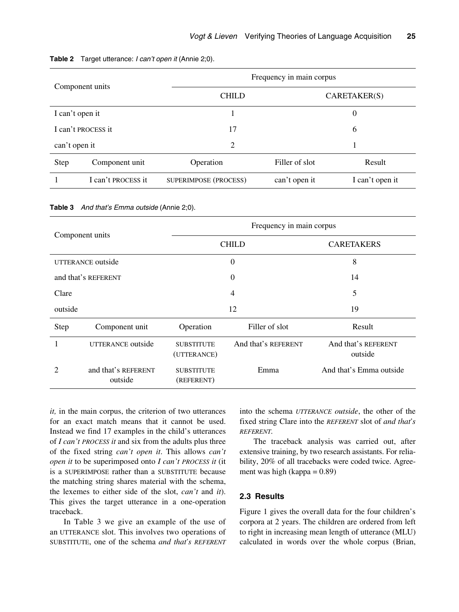| Component units |                    |                       | Frequency in main corpus |                 |  |
|-----------------|--------------------|-----------------------|--------------------------|-----------------|--|
|                 |                    | <b>CHILD</b>          | CARENTAKER(S)            |                 |  |
| I can't open it |                    |                       | 0                        |                 |  |
|                 | I can't PROCESS it | 17                    |                          | 6               |  |
| can't open it   |                    | 2                     |                          |                 |  |
| <b>Step</b>     | Component unit     | Operation             | Filler of slot           | Result          |  |
|                 | I can't PROCESS it | SUPERIMPOSE (PROCESS) | can't open it            | I can't open it |  |

#### **Table 2** Target utterance: *I can't open it* (Annie 2;0).

**Table 3** *And that's Emma outside* (Annie 2;0).

| Component units   |                                | Frequency in main corpus         |                     |                                |
|-------------------|--------------------------------|----------------------------------|---------------------|--------------------------------|
|                   |                                |                                  | <b>CHILD</b>        | <b>CARETAKERS</b>              |
| UTTERANCE outside |                                |                                  | $\theta$            | 8                              |
|                   | and that's REFERENT            | 0                                |                     | 14                             |
| Clare             |                                |                                  | $\overline{4}$      | 5                              |
| outside           |                                | 12                               |                     | 19                             |
| Step              | Component unit                 | Operation                        | Filler of slot      | Result                         |
| 1                 | UTTERANCE outside              | <b>SUBSTITUTE</b><br>(UTTERANCE) | And that's REFERENT | And that's REFERENT<br>outside |
| 2                 | and that's REFERENT<br>outside | <b>SUBSTITUTE</b><br>(REFERENT)  | Emma                | And that's Emma outside        |

*it,* in the main corpus, the criterion of two utterances for an exact match means that it cannot be used. Instead we find 17 examples in the child's utterances of *I can't PROCESS it* and six from the adults plus three of the fixed string *can't open it*. This allows *can't open it* to be superimposed onto *I can't PROCESS it* (it is a SUPERIMPOSE rather than a SUBSTITUTE because the matching string shares material with the schema, the lexemes to either side of the slot, *can't* and *it*). This gives the target utterance in a one-operation traceback.

In Table 3 we give an example of the use of an UTTERANCE slot. This involves two operations of SUBSTITUTE, one of the schema *and that's REFERENT* into the schema *UTTERANCE outside*, the other of the fixed string Clare into the *REFERENT* slot of *and that's REFERENT.*

The traceback analysis was carried out, after extensive training, by two research assistants. For reliability, 20% of all tracebacks were coded twice. Agreement was high (kappa = 0.89)

## **2.3 Results**

Figure 1 gives the overall data for the four children's corpora at 2 years. The children are ordered from left to right in increasing mean length of utterance (MLU) calculated in words over the whole corpus (Brian,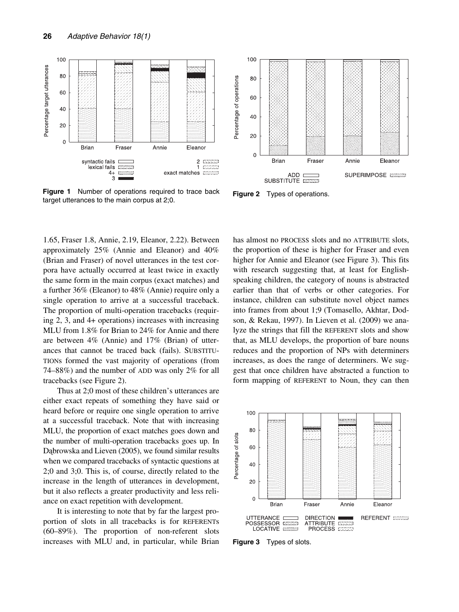

**Figure 1** Number of operations required to trace back Figure 1 Number of operations required to trace back Figure 2 Types of operations.<br>target utterances to the main corpus at 2;0.

1.65, Fraser 1.8, Annie, 2.19, Eleanor, 2.22). Between approximately 25% (Annie and Eleanor) and 40% (Brian and Fraser) of novel utterances in the test corpora have actually occurred at least twice in exactly the same form in the main corpus (exact matches) and a further 36% (Eleanor) to 48% (Annie) require only a single operation to arrive at a successful traceback. The proportion of multi-operation tracebacks (requiring 2, 3, and 4+ operations) increases with increasing MLU from 1.8% for Brian to 24% for Annie and there are between 4% (Annie) and 17% (Brian) of utterances that cannot be traced back (fails). SUBSTITU-TIONs formed the vast majority of operations (from 74–88%) and the number of ADD was only 2% for all tracebacks (see Figure 2).

Thus at 2;0 most of these children's utterances are either exact repeats of something they have said or heard before or require one single operation to arrive at a successful traceback. Note that with increasing MLU, the proportion of exact matches goes down and the number of multi-operation tracebacks goes up. In Dabrowska and Lieven (2005), we found similar results when we compared tracebacks of syntactic questions at 2;0 and 3;0. This is, of course, directly related to the increase in the length of utterances in development, but it also reflects a greater productivity and less reliance on exact repetition with development.

It is interesting to note that by far the largest proportion of slots in all tracebacks is for REFERENTs (60–89%). The proportion of non-referent slots increases with MLU and, in particular, while Brian



has almost no PROCESS slots and no ATTRIBUTE slots, the proportion of these is higher for Fraser and even higher for Annie and Eleanor (see Figure 3). This fits with research suggesting that, at least for Englishspeaking children, the category of nouns is abstracted earlier than that of verbs or other categories. For instance, children can substitute novel object names into frames from about 1;9 (Tomasello, Akhtar, Dodson, & Rekau, 1997). In Lieven et al. (2009) we analyze the strings that fill the REFERENT slots and show that, as MLU develops, the proportion of bare nouns reduces and the proportion of NPs with determiners increases, as does the range of determiners. We suggest that once children have abstracted a function to form mapping of REFERENT to Noun, they can then



**Figure 3** Types of slots.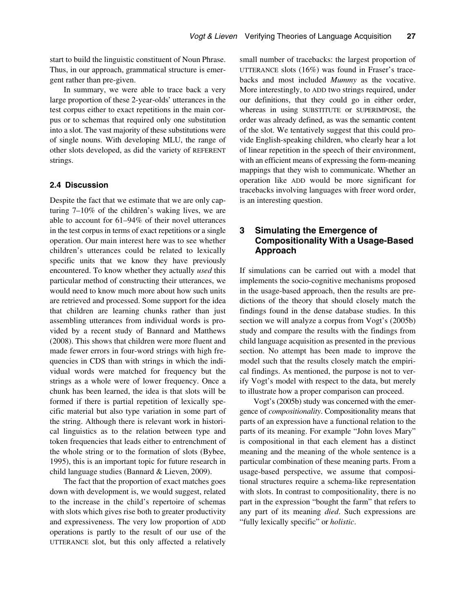start to build the linguistic constituent of Noun Phrase. Thus, in our approach, grammatical structure is emergent rather than pre-given.

In summary, we were able to trace back a very large proportion of these 2-year-olds' utterances in the test corpus either to exact repetitions in the main corpus or to schemas that required only one substitution into a slot. The vast majority of these substitutions were of single nouns. With developing MLU, the range of other slots developed, as did the variety of REFERENT strings.

## **2.4 Discussion**

Despite the fact that we estimate that we are only capturing 7–10% of the children's waking lives, we are able to account for 61–94% of their novel utterances in the test corpus in terms of exact repetitions or a single operation. Our main interest here was to see whether children's utterances could be related to lexically specific units that we know they have previously encountered. To know whether they actually *used* this particular method of constructing their utterances, we would need to know much more about how such units are retrieved and processed. Some support for the idea that children are learning chunks rather than just assembling utterances from individual words is provided by a recent study of Bannard and Matthews (2008). This shows that children were more fluent and made fewer errors in four-word strings with high frequencies in CDS than with strings in which the individual words were matched for frequency but the strings as a whole were of lower frequency. Once a chunk has been learned, the idea is that slots will be formed if there is partial repetition of lexically specific material but also type variation in some part of the string. Although there is relevant work in historical linguistics as to the relation between type and token frequencies that leads either to entrenchment of the whole string or to the formation of slots (Bybee, 1995), this is an important topic for future research in child language studies (Bannard & Lieven, 2009).

The fact that the proportion of exact matches goes down with development is, we would suggest, related to the increase in the child's repertoire of schemas with slots which gives rise both to greater productivity and expressiveness. The very low proportion of ADD operations is partly to the result of our use of the UTTERANCE slot, but this only affected a relatively

small number of tracebacks: the largest proportion of UTTERANCE slots (16%) was found in Fraser's tracebacks and most included *Mummy* as the vocative. More interestingly, to ADD two strings required, under our definitions, that they could go in either order, whereas in using SUBSTITUTE or SUPERIMPOSE, the order was already defined, as was the semantic content of the slot. We tentatively suggest that this could provide English-speaking children, who clearly hear a lot of linear repetition in the speech of their environment, with an efficient means of expressing the form-meaning mappings that they wish to communicate. Whether an operation like ADD would be more significant for tracebacks involving languages with freer word order, is an interesting question.

# **3 Simulating the Emergence of Compositionality With a Usage-Based Approach**

If simulations can be carried out with a model that implements the socio-cognitive mechanisms proposed in the usage-based approach, then the results are predictions of the theory that should closely match the findings found in the dense database studies. In this section we will analyze a corpus from Vogt's (2005b) study and compare the results with the findings from child language acquisition as presented in the previous section. No attempt has been made to improve the model such that the results closely match the empirical findings. As mentioned, the purpose is not to verify Vogt's model with respect to the data, but merely to illustrate how a proper comparison can proceed.

Vogt's (2005b) study was concerned with the emergence of *compositionality*. Compositionality means that parts of an expression have a functional relation to the parts of its meaning. For example "John loves Mary" is compositional in that each element has a distinct meaning and the meaning of the whole sentence is a particular combination of these meaning parts. From a usage-based perspective, we assume that compositional structures require a schema-like representation with slots. In contrast to compositionality, there is no part in the expression "bought the farm" that refers to any part of its meaning *died*. Such expressions are "fully lexically specific" or *holistic*.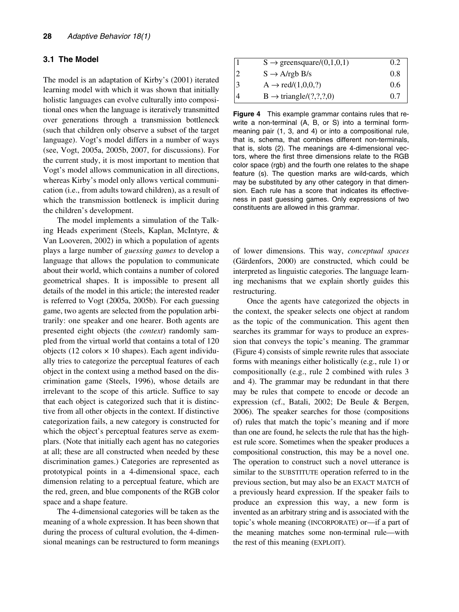#### **3.1 The Model**

The model is an adaptation of Kirby's (2001) iterated learning model with which it was shown that initially holistic languages can evolve culturally into compositional ones when the language is iteratively transmitted over generations through a transmission bottleneck (such that children only observe a subset of the target language). Vogt's model differs in a number of ways (see, Vogt, 2005a, 2005b, 2007, for discussions). For the current study, it is most important to mention that Vogt's model allows communication in all directions, whereas Kirby's model only allows vertical communication (i.e., from adults toward children), as a result of which the transmission bottleneck is implicit during the children's development.

The model implements a simulation of the Talking Heads experiment (Steels, Kaplan, McIntyre, & Van Looveren, 2002) in which a population of agents plays a large number of *guessing games* to develop a language that allows the population to communicate about their world, which contains a number of colored geometrical shapes. It is impossible to present all details of the model in this article; the interested reader is referred to Vogt (2005a, 2005b). For each guessing game, two agents are selected from the population arbitrarily: one speaker and one hearer. Both agents are presented eight objects (the *context*) randomly sampled from the virtual world that contains a total of 120 objects (12 colors  $\times$  10 shapes). Each agent individually tries to categorize the perceptual features of each object in the context using a method based on the discrimination game (Steels, 1996), whose details are irrelevant to the scope of this article. Suffice to say that each object is categorized such that it is distinctive from all other objects in the context. If distinctive categorization fails, a new category is constructed for which the object's perceptual features serve as exemplars. (Note that initially each agent has no categories at all; these are all constructed when needed by these discrimination games.) Categories are represented as prototypical points in a 4-dimensional space, each dimension relating to a perceptual feature, which are the red, green, and blue components of the RGB color space and a shape feature.

The 4-dimensional categories will be taken as the meaning of a whole expression. It has been shown that during the process of cultural evolution, the 4-dimensional meanings can be restructured to form meanings

| 1              | $S \rightarrow$ greens quare/(0,1,0,1) | 0.2 |
|----------------|----------------------------------------|-----|
| $\overline{2}$ | $S \rightarrow A$ /rgb B/s             | 0.8 |
| 3              | $A \rightarrow \text{red}/(1,0,0,?)$   | 0.6 |
| $\overline{4}$ | $B \rightarrow triangle/(?,?,?,0)$     | 0.7 |

**Figure 4** This example grammar contains rules that rewrite a non-terminal (A, B, or S) into a terminal formmeaning pair (1, 3, and 4) or into a compositional rule, that is, schema, that combines different non-terminals, that is, slots (2). The meanings are 4-dimensional vectors, where the first three dimensions relate to the RGB color space (rgb) and the fourth one relates to the shape feature (s). The question marks are wild-cards, which may be substituted by any other category in that dimension. Each rule has a score that indicates its effectiveness in past guessing games. Only expressions of two constituents are allowed in this grammar.

of lower dimensions. This way, *conceptual spaces* (Gärdenfors, 2000) are constructed, which could be interpreted as linguistic categories. The language learning mechanisms that we explain shortly guides this restructuring.

Once the agents have categorized the objects in the context, the speaker selects one object at random as the topic of the communication. This agent then searches its grammar for ways to produce an expression that conveys the topic's meaning. The grammar (Figure 4) consists of simple rewrite rules that associate forms with meanings either holistically (e.g., rule 1) or compositionally (e.g., rule 2 combined with rules 3 and 4). The grammar may be redundant in that there may be rules that compete to encode or decode an expression (cf., Batali, 2002; De Beule & Bergen, 2006). The speaker searches for those (compositions of) rules that match the topic's meaning and if more than one are found, he selects the rule that has the highest rule score. Sometimes when the speaker produces a compositional construction, this may be a novel one. The operation to construct such a novel utterance is similar to the SUBSTITUTE operation referred to in the previous section, but may also be an EXACT MATCH of a previously heard expression. If the speaker fails to produce an expression this way, a new form is invented as an arbitrary string and is associated with the topic's whole meaning (INCORPORATE) or—if a part of the meaning matches some non-terminal rule—with the rest of this meaning (EXPLOIT).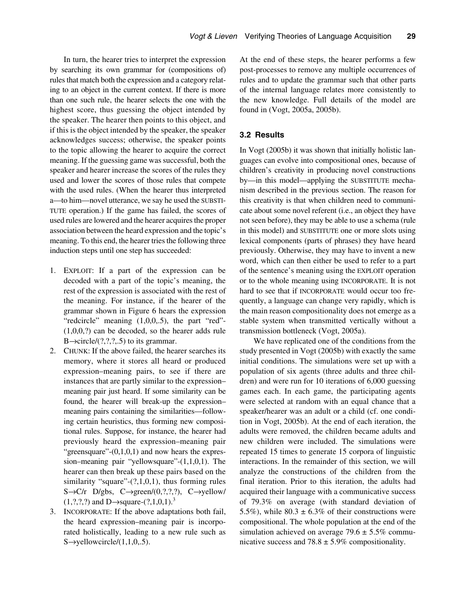In turn, the hearer tries to interpret the expression by searching its own grammar for (compositions of) rules that match both the expression and a category relating to an object in the current context. If there is more than one such rule, the hearer selects the one with the highest score, thus guessing the object intended by the speaker. The hearer then points to this object, and if this is the object intended by the speaker, the speaker acknowledges success; otherwise, the speaker points to the topic allowing the hearer to acquire the correct meaning. If the guessing game was successful, both the speaker and hearer increase the scores of the rules they used and lower the scores of those rules that compete with the used rules. (When the hearer thus interpreted a—to him—novel utterance, we say he used the SUBSTI-TUTE operation.) If the game has failed, the scores of used rules are lowered and the hearer acquires the proper association between the heard expression and the topic's meaning. To this end, the hearer tries the following three induction steps until one step has succeeded:

- 1. EXPLOIT: If a part of the expression can be decoded with a part of the topic's meaning, the rest of the expression is associated with the rest of the meaning. For instance, if the hearer of the grammar shown in Figure 6 hears the expression "redcircle" meaning  $(1,0,0,0.5)$ , the part "red"-(1,0,0,?) can be decoded, so the hearer adds rule B $\rightarrow$ circle/(?,?,?,.5) to its grammar.
- 2. CHUNK: If the above failed, the hearer searches its memory, where it stores all heard or produced expression–meaning pairs, to see if there are instances that are partly similar to the expression– meaning pair just heard. If some similarity can be found, the hearer will break-up the expression– meaning pairs containing the similarities—following certain heuristics, thus forming new compositional rules. Suppose, for instance, the hearer had previously heard the expression–meaning pair "greensquare" $-(0,1,0,1)$  and now hears the expression–meaning pair "yellowsquare"-(1,1,0,1). The hearer can then break up these pairs based on the similarity "square" $-(?,1,0,1)$ , thus forming rules  $S \rightarrow C/r$  D/gbs,  $C \rightarrow green/(0,?,?,.), C \rightarrow yellow/$  $(1,?,?,?)$  and D→square- $(?,1,0,1).^{3}$
- 3. INCORPORATE: If the above adaptations both fail, the heard expression–meaning pair is incorporated holistically, leading to a new rule such as  $S \rightarrow$ yellowcircle/(1,1,0,.5).

At the end of these steps, the hearer performs a few post-processes to remove any multiple occurrences of rules and to update the grammar such that other parts of the internal language relates more consistently to the new knowledge. Full details of the model are found in (Vogt, 2005a, 2005b).

#### **3.2 Results**

In Vogt (2005b) it was shown that initially holistic languages can evolve into compositional ones, because of children's creativity in producing novel constructions by—in this model—applying the SUBSTITUTE mechanism described in the previous section. The reason for this creativity is that when children need to communicate about some novel referent (i.e., an object they have not seen before), they may be able to use a schema (rule in this model) and SUBSTITUTE one or more slots using lexical components (parts of phrases) they have heard previously. Otherwise, they may have to invent a new word, which can then either be used to refer to a part of the sentence's meaning using the EXPLOIT operation or to the whole meaning using INCORPORATE. It is not hard to see that if INCORPORATE would occur too frequently, a language can change very rapidly, which is the main reason compositionality does not emerge as a stable system when transmitted vertically without a transmission bottleneck (Vogt, 2005a).

We have replicated one of the conditions from the study presented in Vogt (2005b) with exactly the same initial conditions. The simulations were set up with a population of six agents (three adults and three children) and were run for 10 iterations of 6,000 guessing games each. In each game, the participating agents were selected at random with an equal chance that a speaker/hearer was an adult or a child (cf. one condition in Vogt, 2005b). At the end of each iteration, the adults were removed, the children became adults and new children were included. The simulations were repeated 15 times to generate 15 corpora of linguistic interactions. In the remainder of this section, we will analyze the constructions of the children from the final iteration. Prior to this iteration, the adults had acquired their language with a communicative success of 79.3% on average (with standard deviation of 5.5%), while  $80.3 \pm 6.3\%$  of their constructions were compositional. The whole population at the end of the simulation achieved on average  $79.6 \pm 5.5\%$  communicative success and  $78.8 \pm 5.9\%$  compositionality.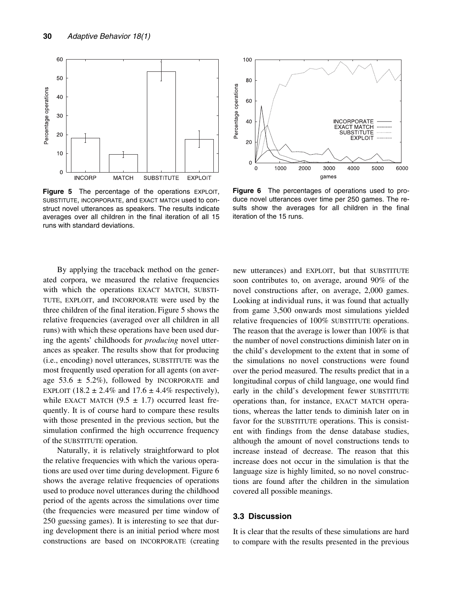

**Figure 5** The percentage of the operations EXPLOIT, SUBSTITUTE, INCORPORATE, and EXACT MATCH used to construct novel utterances as speakers. The results indicate averages over all children in the final iteration of all 15 runs with standard deviations.



**Figure 6** The percentages of operations used to produce novel utterances over time per 250 games. The results show the averages for all children in the final iteration of the 15 runs.

By applying the traceback method on the generated corpora, we measured the relative frequencies with which the operations EXACT MATCH, SUBSTI-TUTE, EXPLOIT, and INCORPORATE were used by the three children of the final iteration. Figure 5 shows the relative frequencies (averaged over all children in all runs) with which these operations have been used during the agents' childhoods for *producing* novel utterances as speaker. The results show that for producing (i.e., encoding) novel utterances, SUBSTITUTE was the most frequently used operation for all agents (on average 53.6  $\pm$  5.2%), followed by INCORPORATE and EXPLOIT (18.2  $\pm$  2.4% and 17.6  $\pm$  4.4% respectively), while EXACT MATCH  $(9.5 \pm 1.7)$  occurred least frequently. It is of course hard to compare these results with those presented in the previous section, but the simulation confirmed the high occurrence frequency of the SUBSTITUTE operation.

Naturally, it is relatively straightforward to plot the relative frequencies with which the various operations are used over time during development. Figure 6 shows the average relative frequencies of operations used to produce novel utterances during the childhood period of the agents across the simulations over time (the frequencies were measured per time window of 250 guessing games). It is interesting to see that during development there is an initial period where most constructions are based on INCORPORATE (creating new utterances) and EXPLOIT, but that SUBSTITUTE soon contributes to, on average, around 90% of the novel constructions after, on average, 2,000 games. Looking at individual runs, it was found that actually from game 3,500 onwards most simulations yielded relative frequencies of 100% SUBSTITUTE operations. The reason that the average is lower than 100% is that the number of novel constructions diminish later on in the child's development to the extent that in some of the simulations no novel constructions were found over the period measured. The results predict that in a longitudinal corpus of child language, one would find early in the child's development fewer SUBSTITUTE operations than, for instance, EXACT MATCH operations, whereas the latter tends to diminish later on in favor for the SUBSTITUTE operations. This is consistent with findings from the dense database studies, although the amount of novel constructions tends to increase instead of decrease. The reason that this increase does not occur in the simulation is that the language size is highly limited, so no novel constructions are found after the children in the simulation covered all possible meanings.

#### **3.3 Discussion**

It is clear that the results of these simulations are hard to compare with the results presented in the previous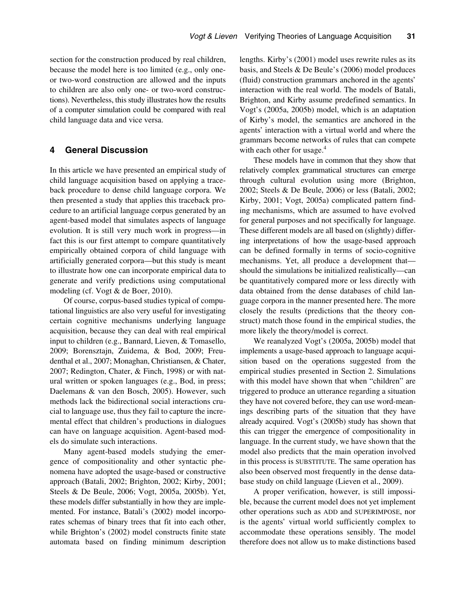section for the construction produced by real children, because the model here is too limited (e.g., only oneor two-word construction are allowed and the inputs to children are also only one- or two-word constructions). Nevertheless, this study illustrates how the results of a computer simulation could be compared with real child language data and vice versa.

## **4 General Discussion**

In this article we have presented an empirical study of child language acquisition based on applying a traceback procedure to dense child language corpora. We then presented a study that applies this traceback procedure to an artificial language corpus generated by an agent-based model that simulates aspects of language evolution. It is still very much work in progress—in fact this is our first attempt to compare quantitatively empirically obtained corpora of child language with artificially generated corpora—but this study is meant to illustrate how one can incorporate empirical data to generate and verify predictions using computational modeling (cf. Vogt & de Boer, 2010).

Of course, corpus-based studies typical of computational linguistics are also very useful for investigating certain cognitive mechanisms underlying language acquisition, because they can deal with real empirical input to children (e.g., Bannard, Lieven, & Tomasello, 2009; Borensztajn, Zuidema, & Bod, 2009; Freudenthal et al., 2007; Monaghan, Christiansen, & Chater, 2007; Redington, Chater, & Finch, 1998) or with natural written or spoken languages (e.g., Bod, in press; Daelemans & van den Bosch, 2005). However, such methods lack the bidirectional social interactions crucial to language use, thus they fail to capture the incremental effect that children's productions in dialogues can have on language acquisition. Agent-based models do simulate such interactions.

Many agent-based models studying the emergence of compositionality and other syntactic phenomena have adopted the usage-based or constructive approach (Batali, 2002; Brighton, 2002; Kirby, 2001; Steels & De Beule, 2006; Vogt, 2005a, 2005b). Yet, these models differ substantially in how they are implemented. For instance, Batali's (2002) model incorporates schemas of binary trees that fit into each other, while Brighton's (2002) model constructs finite state automata based on finding minimum description lengths. Kirby's (2001) model uses rewrite rules as its basis, and Steels & De Beule's (2006) model produces (fluid) construction grammars anchored in the agents' interaction with the real world. The models of Batali, Brighton, and Kirby assume predefined semantics. In Vogt's (2005a, 2005b) model, which is an adaptation of Kirby's model, the semantics are anchored in the agents' interaction with a virtual world and where the grammars become networks of rules that can compete with each other for usage.<sup>4</sup>

These models have in common that they show that relatively complex grammatical structures can emerge through cultural evolution using more (Brighton, 2002; Steels & De Beule, 2006) or less (Batali, 2002; Kirby, 2001; Vogt, 2005a) complicated pattern finding mechanisms, which are assumed to have evolved for general purposes and not specifically for language. These different models are all based on (slightly) differing interpretations of how the usage-based approach can be defined formally in terms of socio-cognitive mechanisms. Yet, all produce a development that should the simulations be initialized realistically—can be quantitatively compared more or less directly with data obtained from the dense databases of child language corpora in the manner presented here. The more closely the results (predictions that the theory construct) match those found in the empirical studies, the more likely the theory/model is correct.

We reanalyzed Vogt's (2005a, 2005b) model that implements a usage-based approach to language acquisition based on the operations suggested from the empirical studies presented in Section 2. Simulations with this model have shown that when "children" are triggered to produce an utterance regarding a situation they have not covered before, they can use word-meanings describing parts of the situation that they have already acquired. Vogt's (2005b) study has shown that this can trigger the emergence of compositionality in language. In the current study, we have shown that the model also predicts that the main operation involved in this process is SUBSTITUTE. The same operation has also been observed most frequently in the dense database study on child language (Lieven et al., 2009).

A proper verification, however, is still impossible, because the current model does not yet implement other operations such as ADD and SUPERIMPOSE, nor is the agents' virtual world sufficiently complex to accommodate these operations sensibly. The model therefore does not allow us to make distinctions based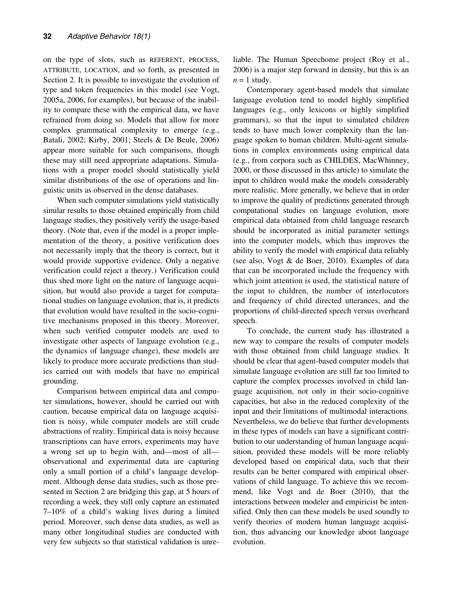on the type of slots, such as REFERENT, PROCESS, ATTRIBUTE, LOCATION, and so forth, as presented in Section 2. It is possible to investigate the evolution of type and token frequencies in this model (see Vogt, 2005a, 2006, for examples), but because of the inability to compare these with the empirical data, we have refrained from doing so. Models that allow for more complex grammatical complexity to emerge (e.g., Batali, 2002; Kirby, 2001; Steels & De Beule, 2006) appear more suitable for such comparisons, though these may still need appropriate adaptations. Simulations with a proper model should statistically yield similar distributions of the use of operations and linguistic units as observed in the dense databases.

When such computer simulations yield statistically similar results to those obtained empirically from child language studies, they positively verify the usage-based theory. (Note that, even if the model is a proper implementation of the theory, a positive verification does not necessarily imply that the theory is correct, but it would provide supportive evidence. Only a negative verification could reject a theory.) Verification could thus shed more light on the nature of language acquisition, but would also provide a target for computational studies on language evolution; that is, it predicts that evolution would have resulted in the socio-cognitive mechanisms proposed in this theory. Moreover, when such verified computer models are used to investigate other aspects of language evolution (e.g., the dynamics of language change), these models are likely to produce more accurate predictions than studies carried out with models that have no empirical grounding.

Comparison between empirical data and computer simulations, however, should be carried out with caution, because empirical data on language acquisition is noisy, while computer models are still crude abstractions of reality. Empirical data is noisy because transcriptions can have errors, experiments may have a wrong set up to begin with, and—most of all observational and experimental data are capturing only a small portion of a child's language development. Although dense data studies, such as those presented in Section 2 are bridging this gap, at 5 hours of recording a week, they still only capture an estimated 7–10% of a child's waking lives during a limited period. Moreover, such dense data studies, as well as many other longitudinal studies are conducted with very few subjects so that statistical validation is unreliable. The Human Speechome project (Roy et al., 2006) is a major step forward in density, but this is an  $n = 1$  study.

Contemporary agent-based models that simulate language evolution tend to model highly simplified languages (e.g., only lexicons or highly simplified grammars), so that the input to simulated children tends to have much lower complexity than the language spoken to human children. Multi-agent simulations in complex environments using empirical data (e.g., from corpora such as CHILDES, MacWhinney, 2000, or those discussed in this article) to simulate the input to children would make the models considerably more realistic. More generally, we believe that in order to improve the quality of predictions generated through computational studies on language evolution, more empirical data obtained from child language research should be incorporated as initial parameter settings into the computer models, which thus improves the ability to verify the model with empirical data reliably (see also, Vogt & de Boer, 2010). Examples of data that can be incorporated include the frequency with which joint attention is used, the statistical nature of the input to children, the number of interlocutors and frequency of child directed utterances, and the proportions of child-directed speech versus overheard speech.

To conclude, the current study has illustrated a new way to compare the results of computer models with those obtained from child language studies. It should be clear that agent-based computer models that simulate language evolution are still far too limited to capture the complex processes involved in child language acquisition, not only in their socio-cognitive capacities, but also in the reduced complexity of the input and their limitations of multimodal interactions. Nevertheless, we do believe that further developments in these types of models can have a significant contribution to our understanding of human language acquisition, provided these models will be more reliably developed based on empirical data, such that their results can be better compared with empirical observations of child language. To achieve this we recommend, like Vogt and de Boer (2010), that the interactions between modeler and empiricist be intensified. Only then can these models be used soundly to verify theories of modern human language acquisition, thus advancing our knowledge about language evolution.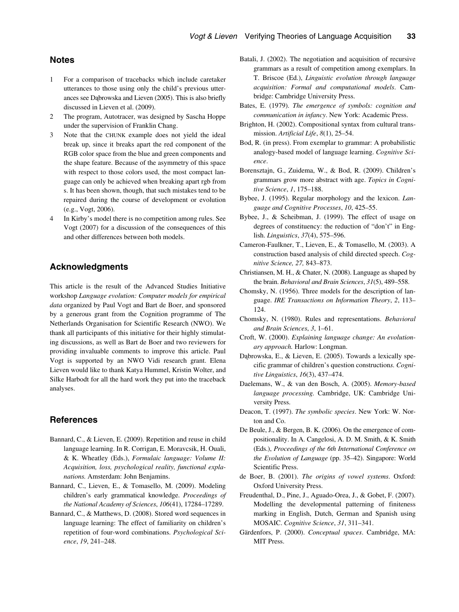# **Notes**

- 1 For a comparison of tracebacks which include caretaker utterances to those using only the child's previous utterances see Dąbrowska and Lieven (2005). This is also briefly discussed in Lieven et al. (2009).
- 2 The program, Autotracer, was designed by Sascha Hoppe under the supervision of Franklin Chang.
- 3 Note that the CHUNK example does not yield the ideal break up, since it breaks apart the red component of the RGB color space from the blue and green components and the shape feature. Because of the asymmetry of this space with respect to those colors used, the most compact language can only be achieved when breaking apart rgb from s. It has been shown, though, that such mistakes tend to be repaired during the course of development or evolution (e.g., Vogt, 2006).
- In Kirby's model there is no competition among rules. See Vogt (2007) for a discussion of the consequences of this and other differences between both models.

# **Acknowledgments**

This article is the result of the Advanced Studies Initiative workshop *Language evolution: Computer models for empirical data* organized by Paul Vogt and Bart de Boer, and sponsored by a generous grant from the Cognition programme of The Netherlands Organisation for Scientific Research (NWO). We thank all participants of this initiative for their highly stimulating discussions, as well as Bart de Boer and two reviewers for providing invaluable comments to improve this article. Paul Vogt is supported by an NWO Vidi research grant. Elena Lieven would like to thank Katya Hummel, Kristin Wolter, and Silke Harbodt for all the hard work they put into the traceback analyses.

#### **References**

- Bannard, C., & Lieven, E. (2009). Repetition and reuse in child language learning. In R. Corrigan, E. Moravcsik, H. Ouali, & K. Wheatley (Eds.), *Formulaic language: Volume II: Acquisition, loss, psychological reality, functional explanations.* Amsterdam: John Benjamins.
- Bannard, C., Lieven, E., & Tomasello, M. (2009). Modeling children's early grammatical knowledge. *Proceedings of the National Academy of Sciences*, *106*(41), 17284–17289.
- Bannard, C., & Matthews, D. (2008). Stored word sequences in language learning: The effect of familiarity on children's repetition of four-word combinations. *Psychological Science*, *19*, 241–248.
- Batali, J. (2002). The negotiation and acquisition of recursive grammars as a result of competition among exemplars. In T. Briscoe (Ed.), *Linguistic evolution through language acquisition: Formal and computational models*. Cambridge: Cambridge University Press.
- Bates, E. (1979). *The emergence of symbols: cognition and communication in infancy*. New York: Academic Press.
- Brighton, H. (2002). Compositional syntax from cultural transmission. *Artificial Life*, *8*(1), 25–54.
- Bod, R. (in press). From exemplar to grammar: A probabilistic analogy-based model of language learning. *Cognitive Science*.
- Borensztajn, G., Zuidema, W., & Bod, R. (2009). Children's grammars grow more abstract with age. *Topics in Cognitive Science*, *1*, 175–188.
- Bybee, J. (1995). Regular morphology and the lexicon. *Language and Cognitive Processes*, *10*, 425–55.
- Bybee, J., & Scheibman, J. (1999). The effect of usage on degrees of constituency: the reduction of "don't" in English. *Linguistics*, *37*(4), 575–596.
- Cameron-Faulkner, T., Lieven, E., & Tomasello, M. (2003). A construction based analysis of child directed speech. *Cognitive Science, 27,* 843–873.
- Christiansen, M. H., & Chater, N. (2008). Language as shaped by the brain. *Behavioral and Brain Sciences*, *31*(5), 489–558.
- Chomsky, N. (1956). Three models for the description of language. *IRE Transactions on Information Theory*, *2*, 113– 124.
- Chomsky, N. (1980). Rules and representations. *Behavioral and Brain Sciences*, *3*, 1–61.
- Croft, W. (2000). *Explaining language change: An evolutionary approach.* Harlow: Longman.
- Dąbrowska, E., & Lieven, E. (2005). Towards a lexically specific grammar of children's question construction*s. Cognitive Linguistics*, *16*(3), 437–474.
- Daelemans, W., & van den Bosch, A. (2005). *Memory-based language processing.* Cambridge, UK: Cambridge University Press.
- Deacon, T. (1997). *The symbolic species*. New York: W. Norton and Co.
- De Beule, J., & Bergen, B. K. (2006). On the emergence of compositionality. In A. Cangelosi, A. D. M. Smith, & K. Smith (Eds.), *Proceedings of the 6th International Conference on the Evolution of Language* (pp. 35–42). Singapore: World Scientific Press.
- de Boer, B. (2001). *The origins of vowel systems*. Oxford: Oxford University Press.
- Freudenthal, D., Pine, J., Aguado-Orea, J., & Gobet, F. (2007). Modelling the developmental patterning of finiteness marking in English, Dutch, German and Spanish using MOSAIC. *Cognitive Science*, *31*, 311–341.
- Gärdenfors, P. (2000). *Conceptual spaces*. Cambridge, MA: MIT Press.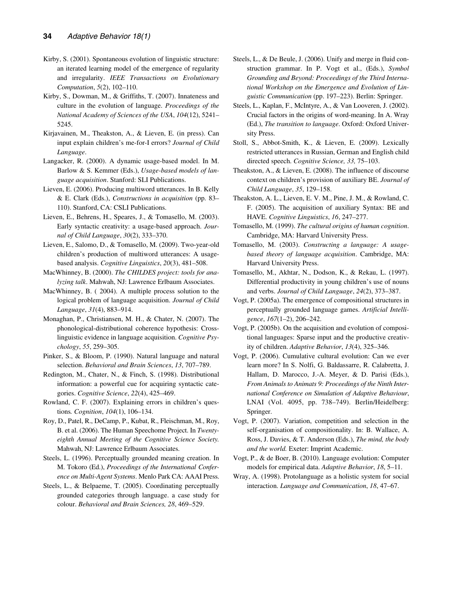- Kirby, S. (2001). Spontaneous evolution of linguistic structure: an iterated learning model of the emergence of regularity and irregularity. *IEEE Transactions on Evolutionary Computation*, *5*(2), 102–110.
- Kirby, S., Dowman, M., & Griffiths, T. (2007). Innateness and culture in the evolution of language. *Proceedings of the National Academy of Sciences of the USA*, *104*(12), 5241– 5245.
- Kirjavainen, M., Theakston, A., & Lieven, E. (in press). Can input explain children's me-for-I errors? *Journal of Child Language*.
- Langacker, R. (2000). A dynamic usage-based model. In M. Barlow & S. Kemmer (Eds.), *Usage-based models of language acquisition*. Stanford: SLI Publications.
- Lieven, E. (2006). Producing multiword utterances. In B. Kelly & E. Clark (Eds.), *Constructions in acquisition* (pp. 83– 110). Stanford, CA: CSLI Publications.
- Lieven, E., Behrens, H., Speares, J., & Tomasello, M. (2003). Early syntactic creativity: a usage-based approach. *Journal of Child Language*, *30*(2), 333–370.
- Lieven, E., Salomo, D., & Tomasello, M. (2009). Two-year-old children's production of multiword utterances: A usagebased analysis. *Cognitive Linguistics*, *20*(3), 481–508.
- MacWhinney, B. (2000). *The CHILDES project: tools for analyzing talk*. Mahwah, NJ: Lawrence Erlbaum Associates.
- MacWhinney, B. ( 2004). A multiple process solution to the logical problem of language acquisition. *Journal of Child Language*, *31*(4), 883–914.
- Monaghan, P., Christiansen, M. H., & Chater, N. (2007). The phonological-distributional coherence hypothesis: Crosslinguistic evidence in language acquisition. *Cognitive Psychology*, *55*, 259–305.
- Pinker, S., & Bloom, P. (1990). Natural language and natural selection. *Behavioral and Brain Sciences*, *13*, 707–789.
- Redington, M., Chater, N., & Finch, S. (1998). Distributional information: a powerful cue for acquiring syntactic categories. *Cognitive Science*, *22*(4), 425–469.
- Rowland, C. F. (2007). Explaining errors in children's questions*. Cognition*, *104*(1), 106–134.
- Roy, D., Patel, R., DeCamp, P., Kubat, R., Fleischman, M., Roy, B. et al. (2006). The Human Speechome Project. In *Twentyeighth Annual Meeting of the Cognitive Science Society.* Mahwah, NJ: Lawrence Erlbaum Associates.
- Steels, L. (1996). Perceptually grounded meaning creation. In M. Tokoro (Ed.), *Proceedings of the International Conference on Multi-Agent Systems*. Menlo Park CA: AAAI Press.
- Steels, L., & Belpaeme, T. (2005). Coordinating perceptually grounded categories through language. a case study for colour. *Behavioral and Brain Sciences, 28*, 469–529.
- Steels, L., & De Beule, J. (2006). Unify and merge in fluid construction grammar. In P. Vogt et al., (Eds.), *Symbol Grounding and Beyond: Proceedings of the Third International Workshop on the Emergence and Evolution of Linguistic Communication* (pp. 197–223). Berlin: Springer.
- Steels, L., Kaplan, F., McIntyre, A., & Van Looveren, J. (2002). Crucial factors in the origins of word-meaning. In A. Wray (Ed.), *The transition to language*. Oxford: Oxford University Press.
- Stoll, S., Abbot-Smith, K., & Lieven, E. (2009). Lexically restricted utterances in Russian, German and English child directed speech. *Cognitive Science, 33,* 75–103.
- Theakston, A., & Lieven, E. (2008). The influence of discourse context on children's provision of auxiliary BE. *Journal of Child Language*, *35*, 129–158.
- Theakston, A. L., Lieven, E. V. M., Pine, J. M., & Rowland, C. F. (2005). The acquisition of auxiliary Syntax: BE and HAVE. *Cognitive Linguistics*, *16*, 247–277.
- Tomasello, M. (1999). *The cultural origins of human cognition*. Cambridge, MA: Harvard University Press.
- Tomasello, M. (2003). *Constructing a language: A usagebased theory of language acquisition*. Cambridge, MA: Harvard University Press.
- Tomasello, M., Akhtar, N., Dodson, K., & Rekau, L. (1997). Differential productivity in young children's use of nouns and verbs. *Journal of Child Language*, *24*(2), 373–387.
- Vogt, P. (2005a). The emergence of compositional structures in perceptually grounded language games. *Artificial Intelligence*, *167*(1–2), 206–242.
- Vogt, P. (2005b). On the acquisition and evolution of compositional languages: Sparse input and the productive creativity of children. *Adaptive Behavior*, *13*(4), 325–346.
- Vogt, P. (2006). Cumulative cultural evolution: Can we ever learn more? In S. Nolfi, G. Baldassarre, R. Calabretta, J. Hallam, D. Marocco, J.-A. Meyer, & D. Parisi (Eds.), *From Animals to Animats 9: Proceedings of the Ninth International Conference on Simulation of Adaptive Behaviour*, LNAI (Vol. 4095, pp. 738–749). Berlin/Heidelberg: Springer.
- Vogt, P. (2007). Variation, competition and selection in the self-organisation of compositionality. In: B. Wallace, A. Ross, J. Davies, & T. Anderson (Eds.), *The mind, the body and the world.* Exeter: Imprint Academic.
- Vogt, P., & de Boer, B. (2010). Language evolution: Computer models for empirical data. *Adaptive Behavior*, *18*, 5–11.
- Wray, A. (1998). Protolanguage as a holistic system for social interaction. *Language and Communication*, *18*, 47–67.